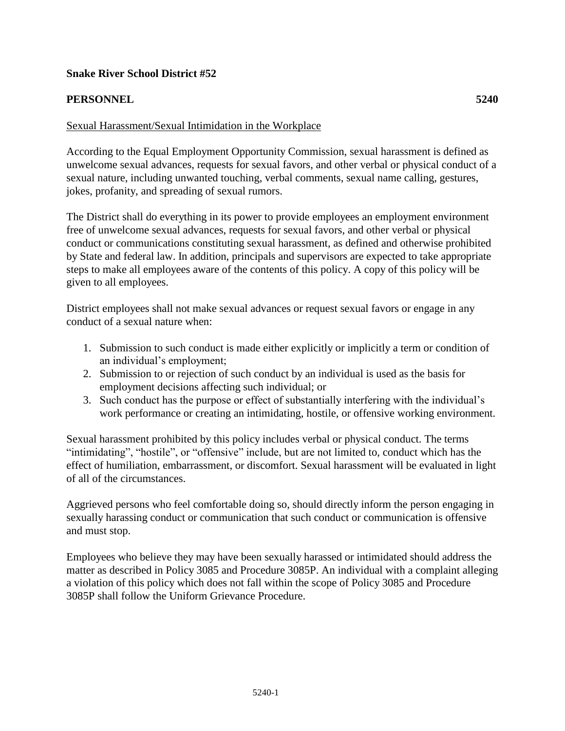## **Snake River School District #52**

# **PERSONNEL 5240**

## Sexual Harassment/Sexual Intimidation in the Workplace

According to the Equal Employment Opportunity Commission, sexual harassment is defined as unwelcome sexual advances, requests for sexual favors, and other verbal or physical conduct of a sexual nature, including unwanted touching, verbal comments, sexual name calling, gestures, jokes, profanity, and spreading of sexual rumors.

The District shall do everything in its power to provide employees an employment environment free of unwelcome sexual advances, requests for sexual favors, and other verbal or physical conduct or communications constituting sexual harassment, as defined and otherwise prohibited by State and federal law. In addition, principals and supervisors are expected to take appropriate steps to make all employees aware of the contents of this policy. A copy of this policy will be given to all employees.

District employees shall not make sexual advances or request sexual favors or engage in any conduct of a sexual nature when:

- 1. Submission to such conduct is made either explicitly or implicitly a term or condition of an individual's employment;
- 2. Submission to or rejection of such conduct by an individual is used as the basis for employment decisions affecting such individual; or
- 3. Such conduct has the purpose or effect of substantially interfering with the individual's work performance or creating an intimidating, hostile, or offensive working environment.

Sexual harassment prohibited by this policy includes verbal or physical conduct. The terms "intimidating", "hostile", or "offensive" include, but are not limited to, conduct which has the effect of humiliation, embarrassment, or discomfort. Sexual harassment will be evaluated in light of all of the circumstances.

Aggrieved persons who feel comfortable doing so, should directly inform the person engaging in sexually harassing conduct or communication that such conduct or communication is offensive and must stop.

Employees who believe they may have been sexually harassed or intimidated should address the matter as described in Policy 3085 and Procedure 3085P. An individual with a complaint alleging a violation of this policy which does not fall within the scope of Policy 3085 and Procedure 3085P shall follow the Uniform Grievance Procedure.